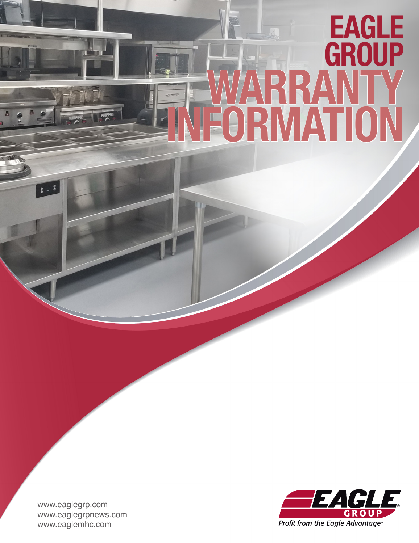# FIVIZATION PRICE LIST **EAGLE GROUP** WARRANTY INFORMATION

www.eaglegrp.com www.eaglegrpnews.com www.eaglemhc.com

 $3 - 8$ 

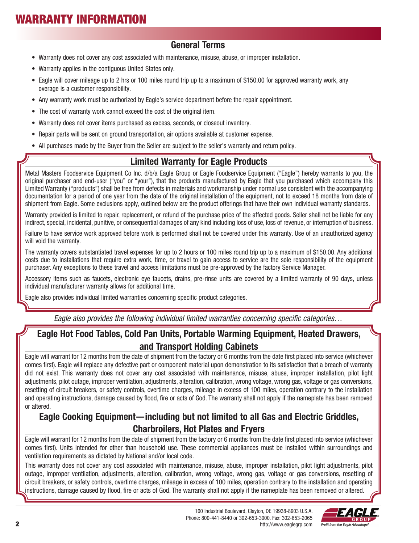# WARRANTY INFORMATION

#### General Terms

- Warranty does not cover any cost associated with maintenance, misuse, abuse, or improper installation.
- Warranty applies in the contiguous United States only.
- Eagle will cover mileage up to 2 hrs or 100 miles round trip up to a maximum of \$150.00 for approved warranty work, any overage is a customer responsibility.
- Any warranty work must be authorized by Eagle's service department before the repair appointment.
- The cost of warranty work cannot exceed the cost of the original item.
- Warranty does not cover items purchased as excess, seconds, or closeout inventory.
- Repair parts will be sent on ground transportation, air options available at customer expense.
- All purchases made by the Buyer from the Seller are subject to the seller's warranty and return policy.

## Limited Warranty for Eagle Products

Metal Masters Foodservice Equipment Co Inc. d/b/a Eagle Group or Eagle Foodservice Equipment ("Eagle") hereby warrants to you, the original purchaser and end-user ("you" or "your"), that the products manufactured by Eagle that you purchased which accompany this Limited Warranty ("products") shall be free from defects in materials and workmanship under normal use consistent with the accompanying documentation for a period of one year from the date of the original installation of the equipment, not to exceed 18 months from date of shipment from Eagle. Some exclusions apply, outlined below are the product offerings that have their own individual warranty standards.

Warranty provided is limited to repair, replacement, or refund of the purchase price of the affected goods. Seller shall not be liable for any indirect, special, incidental, punitive, or consequential damages of any kind including loss of use, loss of revenue, or interruption of business.

Failure to have service work approved before work is performed shall not be covered under this warranty. Use of an unauthorized agency will void the warranty.

The warranty covers substantiated travel expenses for up to 2 hours or 100 miles round trip up to a maximum of \$150.00. Any additional costs due to installations that require extra work, time, or travel to gain access to service are the sole responsibility of the equipment purchaser. Any exceptions to these travel and access limitations must be pre-approved by the factory Service Manager.

Accessory items such as faucets, electronic eye faucets, drains, pre-rinse units are covered by a limited warranty of 90 days, unless individual manufacturer warranty allows for additional time.

Eagle also provides individual limited warranties concerning specific product categories.

*Eagle also provides the following individual limited warranties concerning specific categories…*

## Eagle Hot Food Tables, Cold Pan Units, Portable Warming Equipment, Heated Drawers, and Transport Holding Cabinets

Eagle will warrant for 12 months from the date of shipment from the factory or 6 months from the date first placed into service (whichever comes first). Eagle will replace any defective part or component material upon demonstration to its satisfaction that a breach of warranty did not exist. This warranty does not cover any cost associated with maintenance, misuse, abuse, improper installation, pilot light adjustments, pilot outage, improper ventilation, adjustments, alteration, calibration, wrong voltage, wrong gas, voltage or gas conversions, resetting of circuit breakers, or safety controls, overtime charges, mileage in excess of 100 miles, operation contrary to the installation and operating instructions, damage caused by flood, fire or acts of God. The warranty shall not apply if the nameplate has been removed or altered.

## Eagle Cooking Equipment—including but not limited to all Gas and Electric Griddles, Charbroilers, Hot Plates and Fryers

Eagle will warrant for 12 months from the date of shipment from the factory or 6 months from the date first placed into service (whichever comes first). Units intended for other than household use. These commercial appliances must be installed within surroundings and ventilation requirements as dictated by National and/or local code.

This warranty does not cover any cost associated with maintenance, misuse, abuse, improper installation, pilot light adjustments, pilot outage, improper ventilation, adjustments, alteration, calibration, wrong voltage, wrong gas, voltage or gas conversions, resetting of circuit breakers, or safety controls, overtime charges, mileage in excess of 100 miles, operation contrary to the installation and operating instructions, damage caused by flood, fire or acts of God. The warranty shall not apply if the nameplate has been removed or altered.

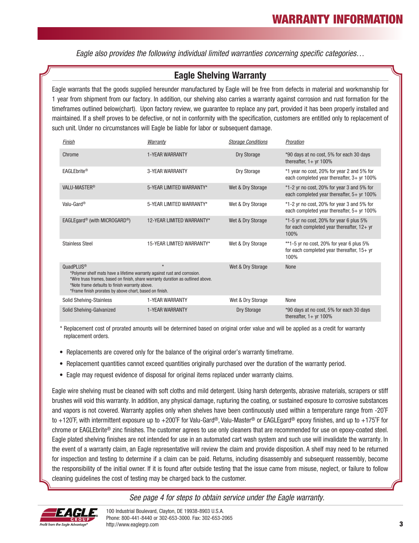*Eagle also provides the following individual limited warranties concerning specific categories…*

#### Eagle Shelving Warranty

Eagle warrants that the goods supplied hereunder manufactured by Eagle will be free from defects in material and workmanship for 1 year from shipment from our factory. In addition, our shelving also carries a warranty against corrosion and rust formation for the timeframes outlined below(chart). Upon factory review, we guarantee to replace any part, provided it has been properly installed and maintained. If a shelf proves to be defective, or not in conformity with the specification, customers are entitled only to replacement of such unit. Under no circumstances will Eagle be liable for labor or subsequent damage.

| Finish                                                                                                                                                                                                                                                                                                                                    | Warranty                  | <b>Storage Conditions</b> | Proration                                                                                          |
|-------------------------------------------------------------------------------------------------------------------------------------------------------------------------------------------------------------------------------------------------------------------------------------------------------------------------------------------|---------------------------|---------------------------|----------------------------------------------------------------------------------------------------|
| Chrome                                                                                                                                                                                                                                                                                                                                    | <b>1-YEAR WARRANTY</b>    | <b>Dry Storage</b>        | *90 days at no cost, 5% for each 30 days<br>thereafter, $1+$ yr 100%                               |
| EAGLEbrite®                                                                                                                                                                                                                                                                                                                               | <b>3-YEAR WARRANTY</b>    | Dry Storage               | *1 year no cost, 20% for year 2 and 5% for<br>each completed year thereafter, $3+$ yr 100%         |
| VALU-MASTER <sup>®</sup>                                                                                                                                                                                                                                                                                                                  | 5-YEAR LIMITED WARRANTY*  | Wet & Dry Storage         | $*1$ -2 yr no cost, 20% for year 3 and 5% for<br>each completed year thereafter, $5+$ yr 100%      |
| Valu-Gard <sup>®</sup>                                                                                                                                                                                                                                                                                                                    | 5-YEAR LIMITED WARRANTY*  | Wet & Dry Storage         | $*1$ -2 yr no cost, 20% for year 3 and 5% for<br>each completed year thereafter, $5+$ yr 100%      |
| EAGLEgard <sup>®</sup> (with MICROGARD <sup>®</sup> )                                                                                                                                                                                                                                                                                     | 12-YEAR LIMITED WARRANTY* | Wet & Dry Storage         | *1-5 yr no cost, 20% for year 6 plus 5%<br>for each completed year thereafter, $12 + yr$<br>100%   |
| <b>Stainless Steel</b>                                                                                                                                                                                                                                                                                                                    | 15-YEAR LIMITED WARRANTY* | Wet & Dry Storage         | **1-5 yr no cost, 20% for year 6 plus $5\%$<br>for each completed year thereafter, $15+yr$<br>100% |
| $\star$<br>QuadPLUS <sup>®</sup><br>Wet & Dry Storage<br>None<br>*Polymer shelf mats have a lifetime warranty against rust and corrosion.<br>*Wire truss frames, based on finish, share warranty duration as outlined above.<br>*Note frame defaults to finish warranty above.<br>*Frame finish prorates by above chart, based on finish. |                           |                           |                                                                                                    |
| <b>Solid Shelving-Stainless</b>                                                                                                                                                                                                                                                                                                           | <b>1-YEAR WARRANTY</b>    | Wet & Dry Storage         | None                                                                                               |
| Solid Shelving-Galvanized                                                                                                                                                                                                                                                                                                                 | <b>1-YEAR WARRANTY</b>    | Dry Storage               | *90 days at no cost, 5% for each 30 days<br>thereafter, $1+$ yr 100%                               |

\* Replacement cost of prorated amounts will be determined based on original order value and will be applied as a credit for warranty replacement orders.

- Replacements are covered only for the balance of the original order's warranty timeframe.
- Replacement quantities cannot exceed quantities originally purchased over the duration of the warranty period.
- Eagle may request evidence of disposal for original items replaced under warranty claims.

Eagle wire shelving must be cleaned with soft cloths and mild detergent. Using harsh detergents, abrasive materials, scrapers or stiff brushes will void this warranty. In addition, any physical damage, rupturing the coating, or sustained exposure to corrosive substances and vapors is not covered. Warranty applies only when shelves have been continuously used within a temperature range from -20˚F to +120˚F, with intermittent exposure up to +200˚F for Valu-Gard®, Valu-Master® or EAGLEgard® epoxy finishes, and up to +175˚F for chrome or EAGLEbrite® zinc finishes. The customer agrees to use only cleaners that are recommended for use on epoxy-coated steel. Eagle plated shelving finishes are not intended for use in an automated cart wash system and such use will invalidate the warranty. In the event of a warranty claim, an Eagle representative will review the claim and provide disposition. A shelf may need to be returned for inspection and testing to determine if a claim can be paid. Returns, including disassembly and subsequent reassembly, become the responsibility of the initial owner. If it is found after outside testing that the issue came from misuse, neglect, or failure to follow cleaning guidelines the cost of testing may be charged back to the customer.

*See page 4 for steps to obtain service under the Eagle warranty.*